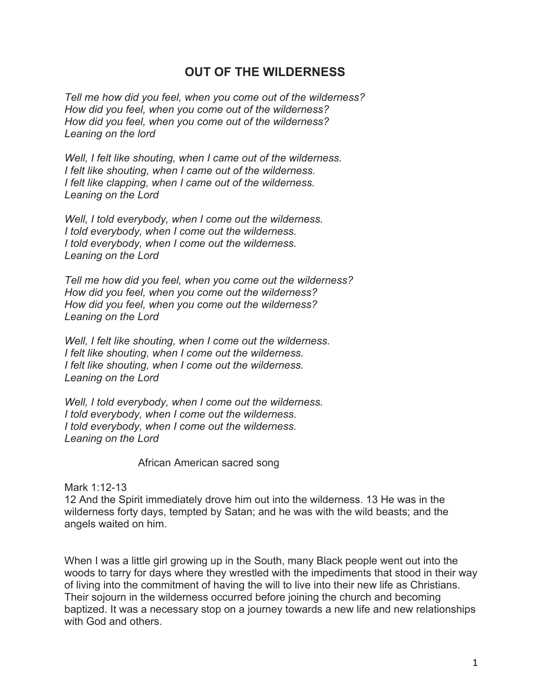## **OUT OF THE WILDERNESS**

*Tell me how did you feel, when you come out of the wilderness? How did you feel, when you come out of the wilderness? How did you feel, when you come out of the wilderness? Leaning on the lord*

*Well, I felt like shouting, when I came out of the wilderness. I felt like shouting, when I came out of the wilderness. I felt like clapping, when I came out of the wilderness. Leaning on the Lord*

*Well, I told everybody, when I come out the wilderness. I told everybody, when I come out the wilderness. I told everybody, when I come out the wilderness. Leaning on the Lord*

*Tell me how did you feel, when you come out the wilderness? How did you feel, when you come out the wilderness? How did you feel, when you come out the wilderness? Leaning on the Lord*

*Well, I felt like shouting, when I come out the wilderness. I felt like shouting, when I come out the wilderness. I felt like shouting, when I come out the wilderness. Leaning on the Lord*

*Well, I told everybody, when I come out the wilderness. I told everybody, when I come out the wilderness. I told everybody, when I come out the wilderness. Leaning on the Lord*

African American sacred song

Mark 1:12-13

12 And the Spirit immediately drove him out into the wilderness. 13 He was in the wilderness forty days, tempted by Satan; and he was with the wild beasts; and the angels waited on him.

When I was a little girl growing up in the South, many Black people went out into the woods to tarry for days where they wrestled with the impediments that stood in their way of living into the commitment of having the will to live into their new life as Christians. Their sojourn in the wilderness occurred before joining the church and becoming baptized. It was a necessary stop on a journey towards a new life and new relationships with God and others.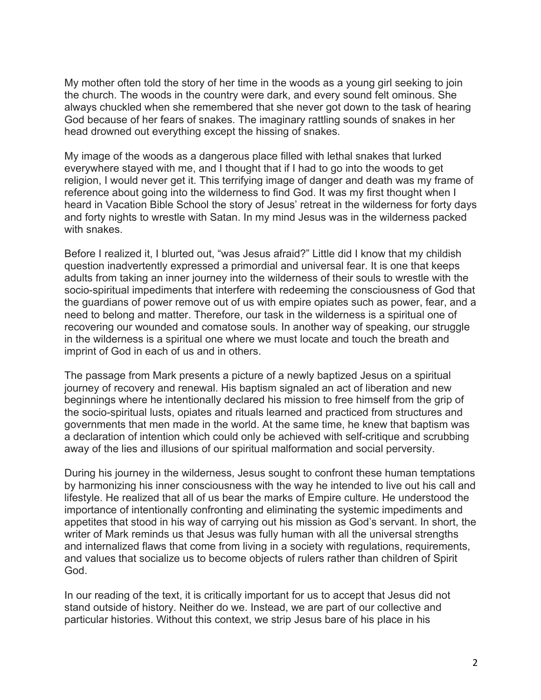My mother often told the story of her time in the woods as a young girl seeking to join the church. The woods in the country were dark, and every sound felt ominous. She always chuckled when she remembered that she never got down to the task of hearing God because of her fears of snakes. The imaginary rattling sounds of snakes in her head drowned out everything except the hissing of snakes.

My image of the woods as a dangerous place filled with lethal snakes that lurked everywhere stayed with me, and I thought that if I had to go into the woods to get religion, I would never get it. This terrifying image of danger and death was my frame of reference about going into the wilderness to find God. It was my first thought when I heard in Vacation Bible School the story of Jesus' retreat in the wilderness for forty days and forty nights to wrestle with Satan. In my mind Jesus was in the wilderness packed with snakes.

Before I realized it, I blurted out, "was Jesus afraid?" Little did I know that my childish question inadvertently expressed a primordial and universal fear. It is one that keeps adults from taking an inner journey into the wilderness of their souls to wrestle with the socio-spiritual impediments that interfere with redeeming the consciousness of God that the guardians of power remove out of us with empire opiates such as power, fear, and a need to belong and matter. Therefore, our task in the wilderness is a spiritual one of recovering our wounded and comatose souls. In another way of speaking, our struggle in the wilderness is a spiritual one where we must locate and touch the breath and imprint of God in each of us and in others.

The passage from Mark presents a picture of a newly baptized Jesus on a spiritual journey of recovery and renewal. His baptism signaled an act of liberation and new beginnings where he intentionally declared his mission to free himself from the grip of the socio-spiritual lusts, opiates and rituals learned and practiced from structures and governments that men made in the world. At the same time, he knew that baptism was a declaration of intention which could only be achieved with self-critique and scrubbing away of the lies and illusions of our spiritual malformation and social perversity.

During his journey in the wilderness, Jesus sought to confront these human temptations by harmonizing his inner consciousness with the way he intended to live out his call and lifestyle. He realized that all of us bear the marks of Empire culture. He understood the importance of intentionally confronting and eliminating the systemic impediments and appetites that stood in his way of carrying out his mission as God's servant. In short, the writer of Mark reminds us that Jesus was fully human with all the universal strengths and internalized flaws that come from living in a society with regulations, requirements, and values that socialize us to become objects of rulers rather than children of Spirit God.

In our reading of the text, it is critically important for us to accept that Jesus did not stand outside of history. Neither do we. Instead, we are part of our collective and particular histories. Without this context, we strip Jesus bare of his place in his